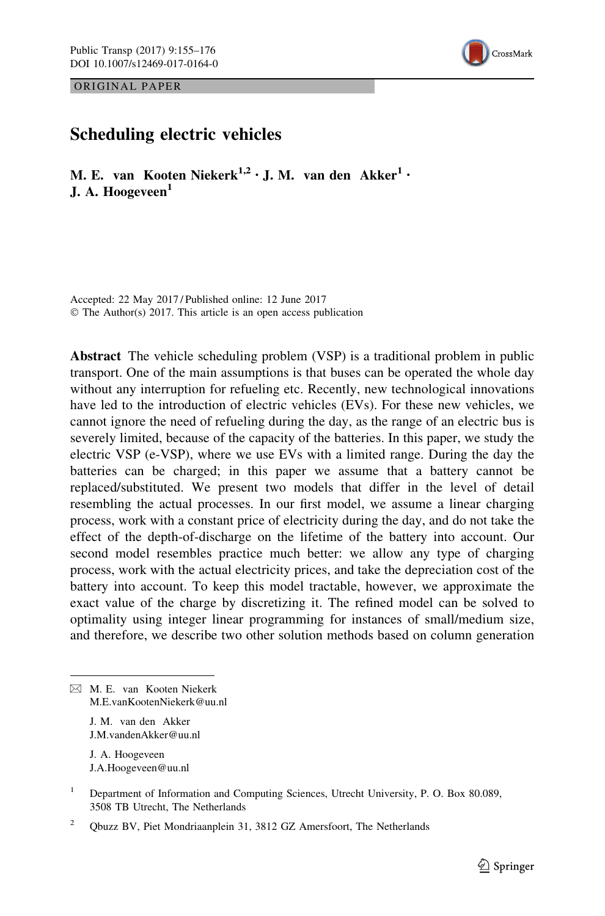ORIGINAL PAPER



# Scheduling electric vehicles

M. E. van Kooten Niekerk $^{1,2}$  · J. M. van den Akker $^{1}$  · J. A. Hoogeveen<sup>1</sup>

Accepted: 22 May 2017 / Published online: 12 June 2017 © The Author(s) 2017. This article is an open access publication

Abstract The vehicle scheduling problem (VSP) is a traditional problem in public transport. One of the main assumptions is that buses can be operated the whole day without any interruption for refueling etc. Recently, new technological innovations have led to the introduction of electric vehicles (EVs). For these new vehicles, we cannot ignore the need of refueling during the day, as the range of an electric bus is severely limited, because of the capacity of the batteries. In this paper, we study the electric VSP (e-VSP), where we use EVs with a limited range. During the day the batteries can be charged; in this paper we assume that a battery cannot be replaced/substituted. We present two models that differ in the level of detail resembling the actual processes. In our first model, we assume a linear charging process, work with a constant price of electricity during the day, and do not take the effect of the depth-of-discharge on the lifetime of the battery into account. Our second model resembles practice much better: we allow any type of charging process, work with the actual electricity prices, and take the depreciation cost of the battery into account. To keep this model tractable, however, we approximate the exact value of the charge by discretizing it. The refined model can be solved to optimality using integer linear programming for instances of small/medium size, and therefore, we describe two other solution methods based on column generation

& M. E. van Kooten Niekerk M.E.vanKootenNiekerk@uu.nl

> J. M. van den Akker J.M.vandenAkker@uu.nl

J. A. Hoogeveen J.A.Hoogeveen@uu.nl

<sup>&</sup>lt;sup>1</sup> Department of Information and Computing Sciences, Utrecht University, P. O. Box 80.089, 3508 TB Utrecht, The Netherlands

<sup>&</sup>lt;sup>2</sup> Qbuzz BV, Piet Mondriaanplein 31, 3812 GZ Amersfoort, The Netherlands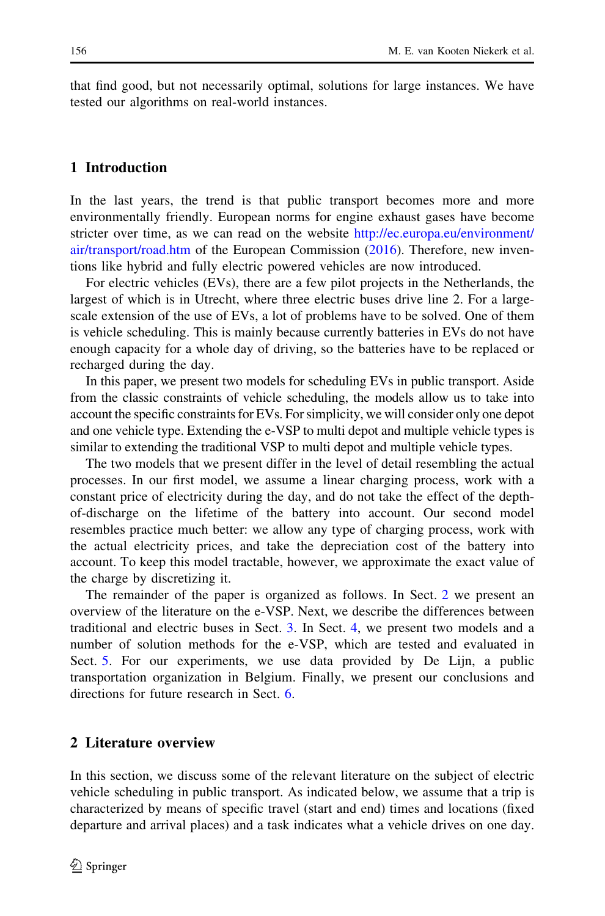that find good, but not necessarily optimal, solutions for large instances. We have tested our algorithms on real-world instances.

### 1 Introduction

In the last years, the trend is that public transport becomes more and more environmentally friendly. European norms for engine exhaust gases have become stricter over time, as we can read on the website [http://ec.europa.eu/environment/](http://ec.europa.eu/environment/air/transport/road.htm) [air/transport/road.htm](http://ec.europa.eu/environment/air/transport/road.htm) of the European Commission [\(2016](#page-21-0)). Therefore, new inventions like hybrid and fully electric powered vehicles are now introduced.

For electric vehicles (EVs), there are a few pilot projects in the Netherlands, the largest of which is in Utrecht, where three electric buses drive line 2. For a largescale extension of the use of EVs, a lot of problems have to be solved. One of them is vehicle scheduling. This is mainly because currently batteries in EVs do not have enough capacity for a whole day of driving, so the batteries have to be replaced or recharged during the day.

In this paper, we present two models for scheduling EVs in public transport. Aside from the classic constraints of vehicle scheduling, the models allow us to take into account the specific constraints for EVs. For simplicity, we will consider only one depot and one vehicle type. Extending the e-VSP to multi depot and multiple vehicle types is similar to extending the traditional VSP to multi depot and multiple vehicle types.

The two models that we present differ in the level of detail resembling the actual processes. In our first model, we assume a linear charging process, work with a constant price of electricity during the day, and do not take the effect of the depthof-discharge on the lifetime of the battery into account. Our second model resembles practice much better: we allow any type of charging process, work with the actual electricity prices, and take the depreciation cost of the battery into account. To keep this model tractable, however, we approximate the exact value of the charge by discretizing it.

The remainder of the paper is organized as follows. In Sect. 2 we present an overview of the literature on the e-VSP. Next, we describe the differences between traditional and electric buses in Sect. [3](#page-3-0). In Sect. [4,](#page-7-0) we present two models and a number of solution methods for the e-VSP, which are tested and evaluated in Sect. [5](#page-15-0). For our experiments, we use data provided by De Lijn, a public transportation organization in Belgium. Finally, we present our conclusions and directions for future research in Sect. [6.](#page-19-0)

### 2 Literature overview

In this section, we discuss some of the relevant literature on the subject of electric vehicle scheduling in public transport. As indicated below, we assume that a trip is characterized by means of specific travel (start and end) times and locations (fixed departure and arrival places) and a task indicates what a vehicle drives on one day.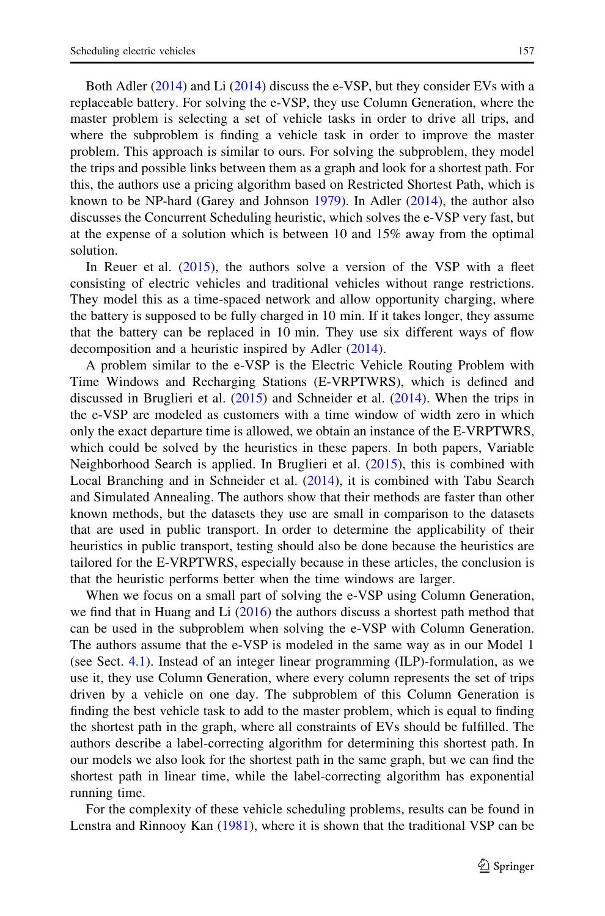Both Adler ([2014\)](#page-20-0) and Li [\(2014](#page-21-0)) discuss the e-VSP, but they consider EVs with a replaceable battery. For solving the e-VSP, they use Column Generation, where the master problem is selecting a set of vehicle tasks in order to drive all trips, and where the subproblem is finding a vehicle task in order to improve the master problem. This approach is similar to ours. For solving the subproblem, they model the trips and possible links between them as a graph and look for a shortest path. For this, the authors use a pricing algorithm based on Restricted Shortest Path, which is known to be NP-hard (Garey and Johnson  $1979$ ). In Adler [\(2014](#page-20-0)), the author also discusses the Concurrent Scheduling heuristic, which solves the e-VSP very fast, but at the expense of a solution which is between 10 and 15% away from the optimal solution.

In Reuer et al. [\(2015](#page-21-0)), the authors solve a version of the VSP with a fleet consisting of electric vehicles and traditional vehicles without range restrictions. They model this as a time-spaced network and allow opportunity charging, where the battery is supposed to be fully charged in 10 min. If it takes longer, they assume that the battery can be replaced in 10 min. They use six different ways of flow decomposition and a heuristic inspired by Adler ([2014\)](#page-20-0).

A problem similar to the e-VSP is the Electric Vehicle Routing Problem with Time Windows and Recharging Stations (E-VRPTWRS), which is defined and discussed in Bruglieri et al. [\(2015](#page-21-0)) and Schneider et al. ([2014\)](#page-21-0). When the trips in the e-VSP are modeled as customers with a time window of width zero in which only the exact departure time is allowed, we obtain an instance of the E-VRPTWRS, which could be solved by the heuristics in these papers. In both papers, Variable Neighborhood Search is applied. In Bruglieri et al. [\(2015](#page-21-0)), this is combined with Local Branching and in Schneider et al. [\(2014](#page-21-0)), it is combined with Tabu Search and Simulated Annealing. The authors show that their methods are faster than other known methods, but the datasets they use are small in comparison to the datasets that are used in public transport. In order to determine the applicability of their heuristics in public transport, testing should also be done because the heuristics are tailored for the E-VRPTWRS, especially because in these articles, the conclusion is that the heuristic performs better when the time windows are larger.

When we focus on a small part of solving the e-VSP using Column Generation, we find that in Huang and Li [\(2016](#page-21-0)) the authors discuss a shortest path method that can be used in the subproblem when solving the e-VSP with Column Generation. The authors assume that the e-VSP is modeled in the same way as in our Model 1 (see Sect. [4.1\)](#page-7-0). Instead of an integer linear programming (ILP)-formulation, as we use it, they use Column Generation, where every column represents the set of trips driven by a vehicle on one day. The subproblem of this Column Generation is finding the best vehicle task to add to the master problem, which is equal to finding the shortest path in the graph, where all constraints of EVs should be fulfilled. The authors describe a label-correcting algorithm for determining this shortest path. In our models we also look for the shortest path in the same graph, but we can find the shortest path in linear time, while the label-correcting algorithm has exponential running time.

For the complexity of these vehicle scheduling problems, results can be found in Lenstra and Rinnooy Kan [\(1981](#page-21-0)), where it is shown that the traditional VSP can be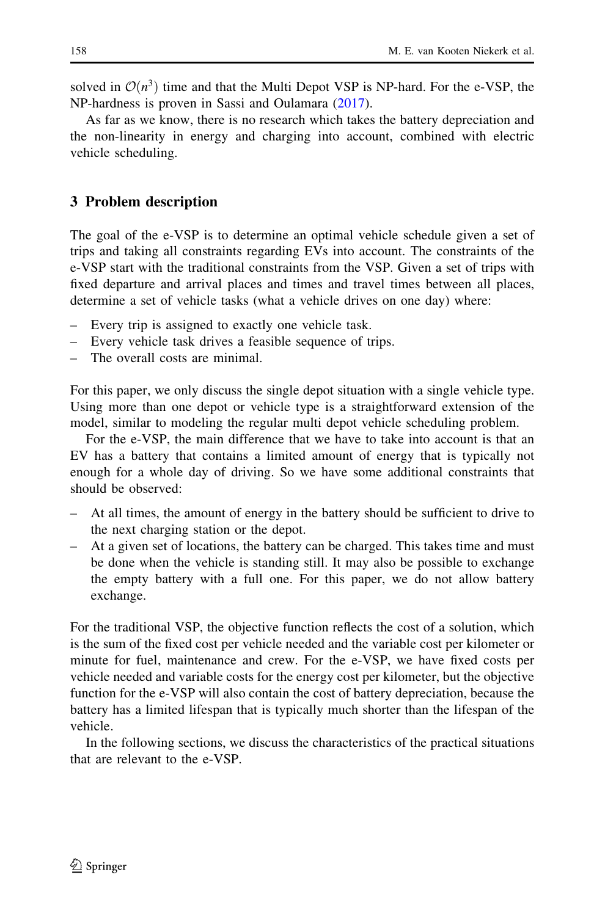<span id="page-3-0"></span>solved in  $\mathcal{O}(n^3)$  time and that the Multi Depot VSP is NP-hard. For the e-VSP, the NP-hardness is proven in Sassi and Oulamara [\(2017](#page-21-0)).

As far as we know, there is no research which takes the battery depreciation and the non-linearity in energy and charging into account, combined with electric vehicle scheduling.

### 3 Problem description

The goal of the e-VSP is to determine an optimal vehicle schedule given a set of trips and taking all constraints regarding EVs into account. The constraints of the e-VSP start with the traditional constraints from the VSP. Given a set of trips with fixed departure and arrival places and times and travel times between all places, determine a set of vehicle tasks (what a vehicle drives on one day) where:

- Every trip is assigned to exactly one vehicle task.
- Every vehicle task drives a feasible sequence of trips.
- The overall costs are minimal.

For this paper, we only discuss the single depot situation with a single vehicle type. Using more than one depot or vehicle type is a straightforward extension of the model, similar to modeling the regular multi depot vehicle scheduling problem.

For the e-VSP, the main difference that we have to take into account is that an EV has a battery that contains a limited amount of energy that is typically not enough for a whole day of driving. So we have some additional constraints that should be observed:

- At all times, the amount of energy in the battery should be sufficient to drive to the next charging station or the depot.
- At a given set of locations, the battery can be charged. This takes time and must be done when the vehicle is standing still. It may also be possible to exchange the empty battery with a full one. For this paper, we do not allow battery exchange.

For the traditional VSP, the objective function reflects the cost of a solution, which is the sum of the fixed cost per vehicle needed and the variable cost per kilometer or minute for fuel, maintenance and crew. For the e-VSP, we have fixed costs per vehicle needed and variable costs for the energy cost per kilometer, but the objective function for the e-VSP will also contain the cost of battery depreciation, because the battery has a limited lifespan that is typically much shorter than the lifespan of the vehicle.

In the following sections, we discuss the characteristics of the practical situations that are relevant to the e-VSP.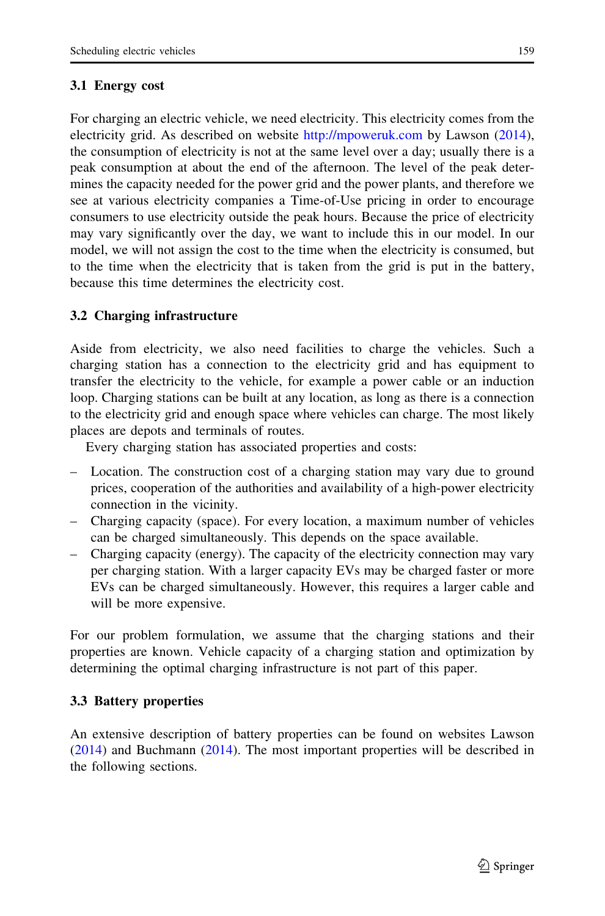# <span id="page-4-0"></span>3.1 Energy cost

For charging an electric vehicle, we need electricity. This electricity comes from the electricity grid. As described on website <http://mpoweruk.com> by Lawson ([2014\)](#page-21-0), the consumption of electricity is not at the same level over a day; usually there is a peak consumption at about the end of the afternoon. The level of the peak determines the capacity needed for the power grid and the power plants, and therefore we see at various electricity companies a Time-of-Use pricing in order to encourage consumers to use electricity outside the peak hours. Because the price of electricity may vary significantly over the day, we want to include this in our model. In our model, we will not assign the cost to the time when the electricity is consumed, but to the time when the electricity that is taken from the grid is put in the battery, because this time determines the electricity cost.

# 3.2 Charging infrastructure

Aside from electricity, we also need facilities to charge the vehicles. Such a charging station has a connection to the electricity grid and has equipment to transfer the electricity to the vehicle, for example a power cable or an induction loop. Charging stations can be built at any location, as long as there is a connection to the electricity grid and enough space where vehicles can charge. The most likely places are depots and terminals of routes.

Every charging station has associated properties and costs:

- Location. The construction cost of a charging station may vary due to ground prices, cooperation of the authorities and availability of a high-power electricity connection in the vicinity.
- Charging capacity (space). For every location, a maximum number of vehicles can be charged simultaneously. This depends on the space available.
- Charging capacity (energy). The capacity of the electricity connection may vary per charging station. With a larger capacity EVs may be charged faster or more EVs can be charged simultaneously. However, this requires a larger cable and will be more expensive.

For our problem formulation, we assume that the charging stations and their properties are known. Vehicle capacity of a charging station and optimization by determining the optimal charging infrastructure is not part of this paper.

# 3.3 Battery properties

An extensive description of battery properties can be found on websites Lawson [\(2014](#page-21-0)) and Buchmann [\(2014](#page-21-0)). The most important properties will be described in the following sections.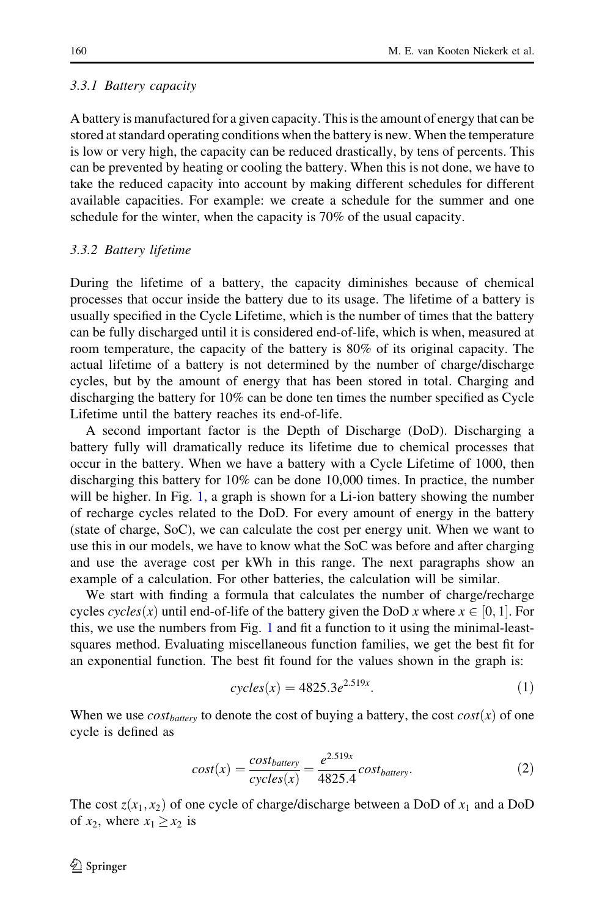#### 3.3.1 Battery capacity

A battery is manufactured for a given capacity. This is the amount of energy that can be stored at standard operating conditions when the battery is new. When the temperature is low or very high, the capacity can be reduced drastically, by tens of percents. This can be prevented by heating or cooling the battery. When this is not done, we have to take the reduced capacity into account by making different schedules for different available capacities. For example: we create a schedule for the summer and one schedule for the winter, when the capacity is 70% of the usual capacity.

#### 3.3.2 Battery lifetime

During the lifetime of a battery, the capacity diminishes because of chemical processes that occur inside the battery due to its usage. The lifetime of a battery is usually specified in the Cycle Lifetime, which is the number of times that the battery can be fully discharged until it is considered end-of-life, which is when, measured at room temperature, the capacity of the battery is 80% of its original capacity. The actual lifetime of a battery is not determined by the number of charge/discharge cycles, but by the amount of energy that has been stored in total. Charging and discharging the battery for 10% can be done ten times the number specified as Cycle Lifetime until the battery reaches its end-of-life.

A second important factor is the Depth of Discharge (DoD). Discharging a battery fully will dramatically reduce its lifetime due to chemical processes that occur in the battery. When we have a battery with a Cycle Lifetime of 1000, then discharging this battery for 10% can be done 10,000 times. In practice, the number will be higher. In Fig. [1](#page-6-0), a graph is shown for a Li-ion battery showing the number of recharge cycles related to the DoD. For every amount of energy in the battery (state of charge, SoC), we can calculate the cost per energy unit. When we want to use this in our models, we have to know what the SoC was before and after charging and use the average cost per kWh in this range. The next paragraphs show an example of a calculation. For other batteries, the calculation will be similar.

We start with finding a formula that calculates the number of charge/recharge cycles *cycles*(*x*) until end-of-life of the battery given the DoD *x* where  $x \in [0, 1]$ . For this, we use the numbers from Fig. [1](#page-6-0) and fit a function to it using the minimal-leastsquares method. Evaluating miscellaneous function families, we get the best fit for an exponential function. The best fit found for the values shown in the graph is:

$$
cycles(x) = 4825.3e^{2.519x}.\t(1)
$$

When we use  $cost_{battery}$  to denote the cost of buying a battery, the cost  $cost(x)$  of one cycle is defined as

$$
cost(x) = \frac{cost_{battery}}{cycles(x)} = \frac{e^{2.519x}}{4825.4} cost_{battery}.
$$
\n(2)

The cost  $z(x_1, x_2)$  of one cycle of charge/discharge between a DoD of  $x_1$  and a DoD of  $x_2$ , where  $x_1 \ge x_2$  is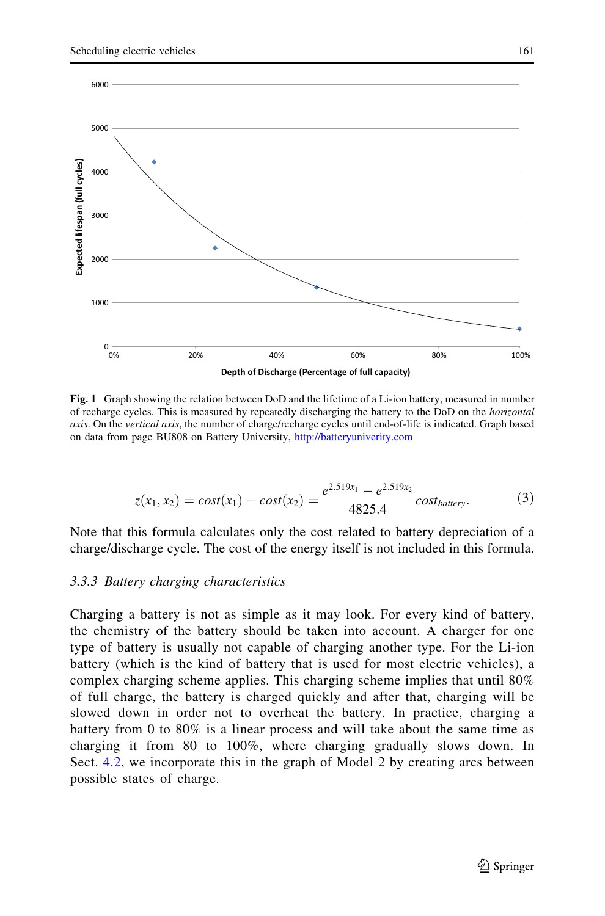<span id="page-6-0"></span>

Fig. 1 Graph showing the relation between DoD and the lifetime of a Li-ion battery, measured in number of recharge cycles. This is measured by repeatedly discharging the battery to the DoD on the horizontal axis. On the vertical axis, the number of charge/recharge cycles until end-of-life is indicated. Graph based on data from page BU808 on Battery University, <http://batteryuniverity.com>

$$
z(x_1, x_2) = cost(x_1) - cost(x_2) = \frac{e^{2.519x_1} - e^{2.519x_2}}{4825.4} cost_{battery}.
$$
 (3)

Note that this formula calculates only the cost related to battery depreciation of a charge/discharge cycle. The cost of the energy itself is not included in this formula.

#### 3.3.3 Battery charging characteristics

Charging a battery is not as simple as it may look. For every kind of battery, the chemistry of the battery should be taken into account. A charger for one type of battery is usually not capable of charging another type. For the Li-ion battery (which is the kind of battery that is used for most electric vehicles), a complex charging scheme applies. This charging scheme implies that until 80% of full charge, the battery is charged quickly and after that, charging will be slowed down in order not to overheat the battery. In practice, charging a battery from 0 to 80% is a linear process and will take about the same time as charging it from 80 to 100%, where charging gradually slows down. In Sect. [4.2,](#page-9-0) we incorporate this in the graph of Model 2 by creating arcs between possible states of charge.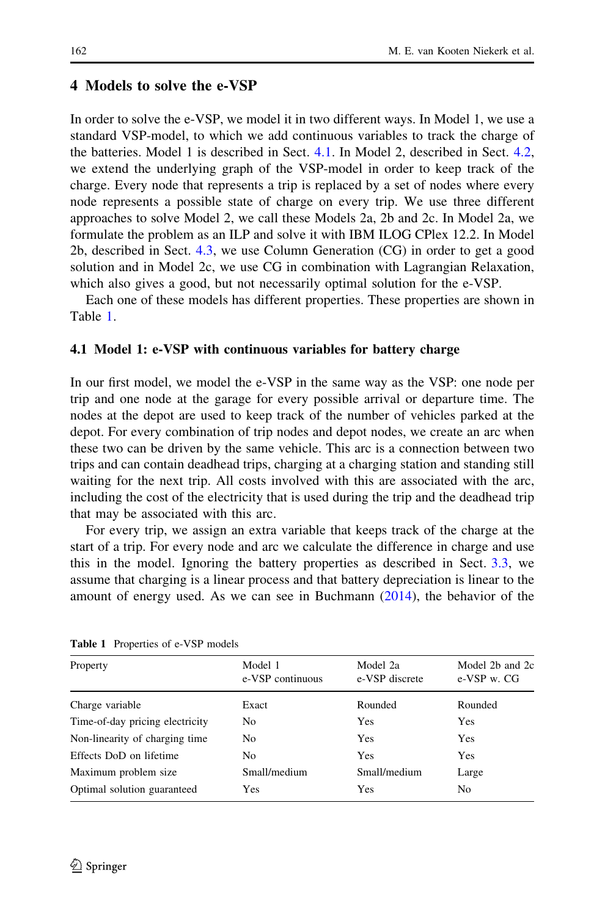### <span id="page-7-0"></span>4 Models to solve the e-VSP

In order to solve the e-VSP, we model it in two different ways. In Model 1, we use a standard VSP-model, to which we add continuous variables to track the charge of the batteries. Model 1 is described in Sect. 4.1. In Model 2, described in Sect. [4.2,](#page-9-0) we extend the underlying graph of the VSP-model in order to keep track of the charge. Every node that represents a trip is replaced by a set of nodes where every node represents a possible state of charge on every trip. We use three different approaches to solve Model 2, we call these Models 2a, 2b and 2c. In Model 2a, we formulate the problem as an ILP and solve it with IBM ILOG CPlex 12.2. In Model 2b, described in Sect. [4.3,](#page-12-0) we use Column Generation (CG) in order to get a good solution and in Model 2c, we use CG in combination with Lagrangian Relaxation, which also gives a good, but not necessarily optimal solution for the e-VSP.

Each one of these models has different properties. These properties are shown in Table 1.

### 4.1 Model 1: e-VSP with continuous variables for battery charge

In our first model, we model the e-VSP in the same way as the VSP: one node per trip and one node at the garage for every possible arrival or departure time. The nodes at the depot are used to keep track of the number of vehicles parked at the depot. For every combination of trip nodes and depot nodes, we create an arc when these two can be driven by the same vehicle. This arc is a connection between two trips and can contain deadhead trips, charging at a charging station and standing still waiting for the next trip. All costs involved with this are associated with the arc, including the cost of the electricity that is used during the trip and the deadhead trip that may be associated with this arc.

For every trip, we assign an extra variable that keeps track of the charge at the start of a trip. For every node and arc we calculate the difference in charge and use this in the model. Ignoring the battery properties as described in Sect. [3.3](#page-4-0), we assume that charging is a linear process and that battery depreciation is linear to the amount of energy used. As we can see in Buchmann [\(2014](#page-21-0)), the behavior of the

| Property                        | Model 1<br>e-VSP continuous | Model 2a<br>e-VSP discrete | Model 2b and 2c<br>e-VSP w. CG |
|---------------------------------|-----------------------------|----------------------------|--------------------------------|
| Charge variable                 | Exact                       | Rounded                    | Rounded                        |
| Time-of-day pricing electricity | No                          | Yes                        | <b>Yes</b>                     |
| Non-linearity of charging time  | No.                         | Yes                        | Yes                            |
| Effects DoD on lifetime         | No.                         | Yes                        | Yes                            |
| Maximum problem size            | Small/medium                | Small/medium               | Large                          |
| Optimal solution guaranteed     | <b>Yes</b>                  | Yes                        | No.                            |
|                                 |                             |                            |                                |

Table 1 Properties of e-VSP models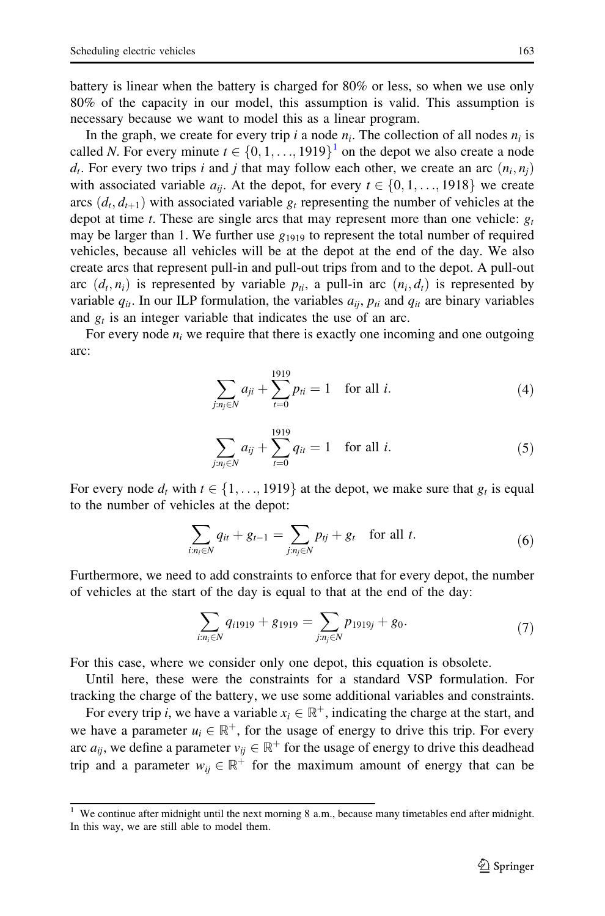battery is linear when the battery is charged for 80% or less, so when we use only 80% of the capacity in our model, this assumption is valid. This assumption is necessary because we want to model this as a linear program.

In the graph, we create for every trip i a node  $n_i$ . The collection of all nodes  $n_i$  is called N. For every minute  $t \in \{0, 1, \ldots, 1919\}^1$  on the depot we also create a node  $d_t$ . For every two trips i and j that may follow each other, we create an arc  $(n_i, n_j)$ with associated variable  $a_{ii}$ . At the depot, for every  $t \in \{0, 1, \ldots, 1918\}$  we create arcs  $(d_t, d_{t+1})$  with associated variable  $g_t$  representing the number of vehicles at the depot at time t. These are single arcs that may represent more than one vehicle:  $g_t$ may be larger than 1. We further use  $g_{1919}$  to represent the total number of required vehicles, because all vehicles will be at the depot at the end of the day. We also create arcs that represent pull-in and pull-out trips from and to the depot. A pull-out arc  $(d_t, n_i)$  is represented by variable  $p_{ti}$ , a pull-in arc  $(n_i, d_t)$  is represented by variable  $q_{it}$ . In our ILP formulation, the variables  $a_{it}$ ,  $p_{ti}$  and  $q_{it}$  are binary variables and  $g_t$  is an integer variable that indicates the use of an arc.

For every node  $n_i$  we require that there is exactly one incoming and one outgoing arc:

$$
\sum_{j:n_j \in N} a_{ji} + \sum_{t=0}^{1919} p_{ti} = 1 \quad \text{for all } i.
$$
 (4)

$$
\sum_{j:n_j \in N} a_{ij} + \sum_{t=0}^{1919} q_{it} = 1 \quad \text{for all } i.
$$
 (5)

For every node  $d_t$  with  $t \in \{1, ..., 1919\}$  at the depot, we make sure that  $g_t$  is equal to the number of vehicles at the depot:

1919

$$
\sum_{i:n_i \in N} q_{it} + g_{t-1} = \sum_{j:n_j \in N} p_{ij} + g_t \text{ for all } t.
$$
 (6)

Furthermore, we need to add constraints to enforce that for every depot, the number of vehicles at the start of the day is equal to that at the end of the day:

$$
\sum_{i:n_i\in N} q_{i1919} + g_{1919} = \sum_{j:n_j\in N} p_{1919j} + g_0.
$$
 (7)

For this case, where we consider only one depot, this equation is obsolete.

Until here, these were the constraints for a standard VSP formulation. For tracking the charge of the battery, we use some additional variables and constraints.

For every trip i, we have a variable  $x_i \in \mathbb{R}^+$ , indicating the charge at the start, and we have a parameter  $u_i \in \mathbb{R}^+$ , for the usage of energy to drive this trip. For every arc  $a_{ii}$ , we define a parameter  $v_{ii} \in \mathbb{R}^+$  for the usage of energy to drive this deadhead trip and a parameter  $w_{ii} \in \mathbb{R}^+$  for the maximum amount of energy that can be

 $\frac{1}{1}$  We continue after midnight until the next morning 8 a.m., because many timetables end after midnight. In this way, we are still able to model them.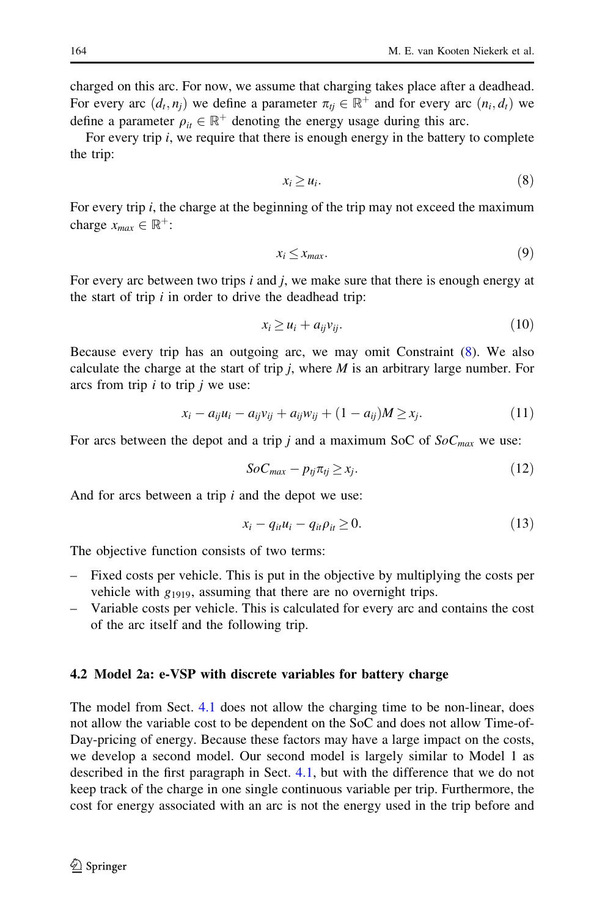<span id="page-9-0"></span>charged on this arc. For now, we assume that charging takes place after a deadhead. For every arc  $(d_t, n_j)$  we define a parameter  $\pi_{t_i} \in \mathbb{R}^+$  and for every arc  $(n_i, d_t)$  we define a parameter  $\rho_{it} \in \mathbb{R}^+$  denoting the energy usage during this arc.

For every trip  $i$ , we require that there is enough energy in the battery to complete the trip:

$$
x_i \ge u_i. \tag{8}
$$

For every trip  $i$ , the charge at the beginning of the trip may not exceed the maximum charge  $x_{max} \in \mathbb{R}^+$ :

$$
x_i \le x_{max}.\tag{9}
$$

For every arc between two trips  $i$  and  $j$ , we make sure that there is enough energy at the start of trip  $i$  in order to drive the deadhead trip:

$$
x_i \ge u_i + a_{ij} v_{ij}.\tag{10}
$$

Because every trip has an outgoing arc, we may omit Constraint (8). We also calculate the charge at the start of trip  $j$ , where  $M$  is an arbitrary large number. For arcs from trip  $i$  to trip  $j$  we use:

$$
x_i - a_{ij}u_i - a_{ij}v_{ij} + a_{ij}w_{ij} + (1 - a_{ij})M \ge x_j.
$$
\n
$$
(11)
$$

For arcs between the depot and a trip j and a maximum SoC of  $SoC<sub>max</sub>$  we use:

$$
SoC_{max} - p_{tj}\pi_{tj} \ge x_j. \tag{12}
$$

And for arcs between a trip *i* and the depot we use:

$$
x_i - q_{it}u_i - q_{it}\rho_{it} \ge 0. \tag{13}
$$

The objective function consists of two terms:

- Fixed costs per vehicle. This is put in the objective by multiplying the costs per vehicle with  $g_{1919}$ , assuming that there are no overnight trips.
- Variable costs per vehicle. This is calculated for every arc and contains the cost of the arc itself and the following trip.

#### 4.2 Model 2a: e-VSP with discrete variables for battery charge

The model from Sect. [4.1](#page-7-0) does not allow the charging time to be non-linear, does not allow the variable cost to be dependent on the SoC and does not allow Time-of-Day-pricing of energy. Because these factors may have a large impact on the costs, we develop a second model. Our second model is largely similar to Model 1 as described in the first paragraph in Sect. [4.1](#page-7-0), but with the difference that we do not keep track of the charge in one single continuous variable per trip. Furthermore, the cost for energy associated with an arc is not the energy used in the trip before and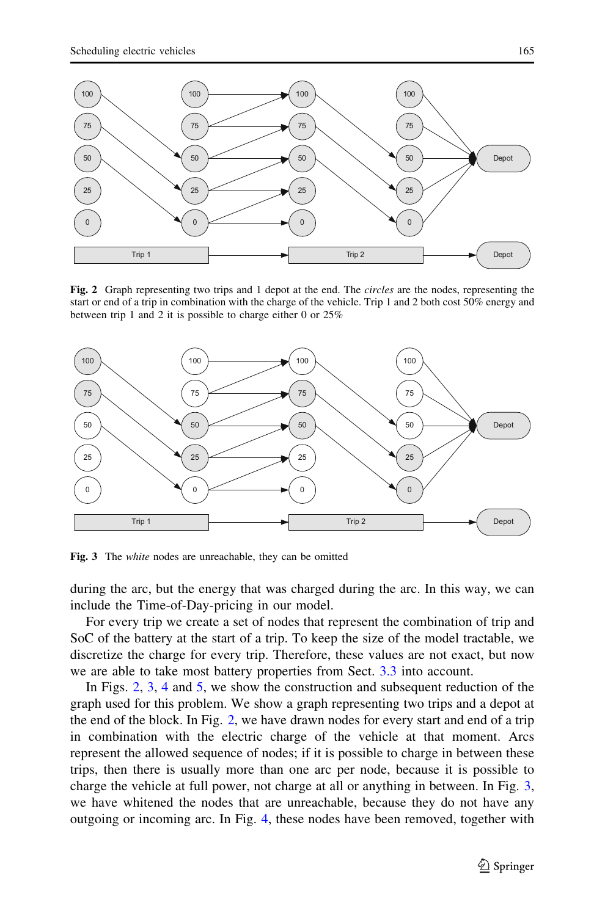<span id="page-10-0"></span>

Fig. 2 Graph representing two trips and 1 depot at the end. The *circles* are the nodes, representing the start or end of a trip in combination with the charge of the vehicle. Trip 1 and 2 both cost 50% energy and between trip 1 and 2 it is possible to charge either 0 or 25%



Fig. 3 The *white* nodes are unreachable, they can be omitted

during the arc, but the energy that was charged during the arc. In this way, we can include the Time-of-Day-pricing in our model.

For every trip we create a set of nodes that represent the combination of trip and SoC of the battery at the start of a trip. To keep the size of the model tractable, we discretize the charge for every trip. Therefore, these values are not exact, but now we are able to take most battery properties from Sect. [3.3](#page-4-0) into account.

In Figs. 2, 3, [4](#page-11-0) and [5,](#page-11-0) we show the construction and subsequent reduction of the graph used for this problem. We show a graph representing two trips and a depot at the end of the block. In Fig. 2, we have drawn nodes for every start and end of a trip in combination with the electric charge of the vehicle at that moment. Arcs represent the allowed sequence of nodes; if it is possible to charge in between these trips, then there is usually more than one arc per node, because it is possible to charge the vehicle at full power, not charge at all or anything in between. In Fig. 3, we have whitened the nodes that are unreachable, because they do not have any outgoing or incoming arc. In Fig. [4,](#page-11-0) these nodes have been removed, together with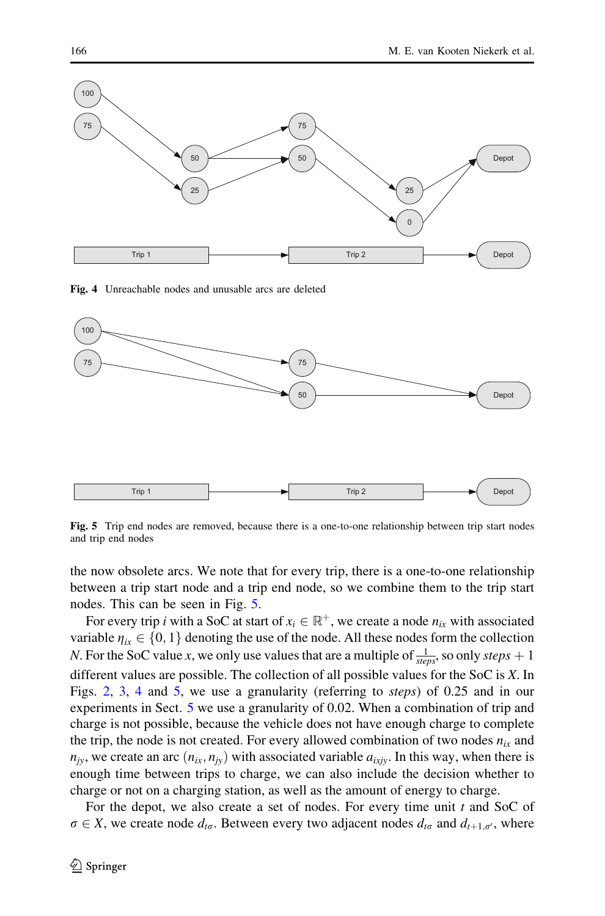<span id="page-11-0"></span>

Fig. 4 Unreachable nodes and unusable arcs are deleted



Fig. 5 Trip end nodes are removed, because there is a one-to-one relationship between trip start nodes and trip end nodes

the now obsolete arcs. We note that for every trip, there is a one-to-one relationship between a trip start node and a trip end node, so we combine them to the trip start nodes. This can be seen in Fig. 5.

For every trip *i* with a SoC at start of  $x_i \in \mathbb{R}^+$ , we create a node  $n_i$  with associated variable  $\eta_{ix} \in \{0, 1\}$  denoting the use of the node. All these nodes form the collection *N*. For the SoC value *x*, we only use values that are a multiple of  $\frac{1}{steps}$ , so only *steps* + 1 different values are possible. The collection of all possible values for the SoC is X. In Figs. [2,](#page-10-0) [3,](#page-10-0) 4 and 5, we use a granularity (referring to steps) of 0.25 and in our experiments in Sect. [5](#page-15-0) we use a granularity of 0.02. When a combination of trip and charge is not possible, because the vehicle does not have enough charge to complete the trip, the node is not created. For every allowed combination of two nodes  $n_{ix}$  and  $n_{jy}$ , we create an arc  $(n_{ix}, n_{jy})$  with associated variable  $a_{ixjy}$ . In this way, when there is enough time between trips to charge, we can also include the decision whether to charge or not on a charging station, as well as the amount of energy to charge.

For the depot, we also create a set of nodes. For every time unit  $t$  and SoC of  $\sigma \in X$ , we create node  $d_{t\sigma}$ . Between every two adjacent nodes  $d_{t\sigma}$  and  $d_{t+1,\sigma'}$ , where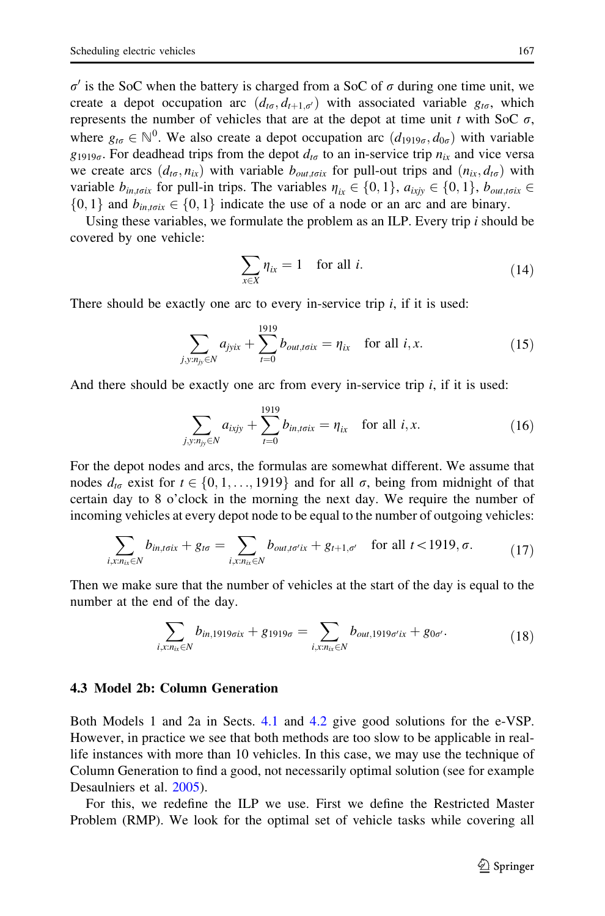<span id="page-12-0"></span> $\sigma'$  is the SoC when the battery is charged from a SoC of  $\sigma$  during one time unit, we create a depot occupation arc  $(d_{t\sigma}, d_{t+1,\sigma})$  with associated variable  $g_{t\sigma}$ , which represents the number of vehicles that are at the depot at time unit t with SoC  $\sigma$ , where  $g_{t\sigma} \in \mathbb{N}^0$ . We also create a depot occupation arc  $(d_{1919\sigma}, d_{0\sigma})$  with variable  $g_{1919\sigma}$ . For deadhead trips from the depot  $d_{t\sigma}$  to an in-service trip  $n_{ix}$  and vice versa we create arcs  $(d_{t\sigma}, n_{ix})$  with variable  $b_{out,t\sigma ix}$  for pull-out trips and  $(n_{ix}, d_{t\sigma})$  with variable  $b_{\text{in,trix}}$  for pull-in trips. The variables  $\eta_{\text{ir}} \in \{0, 1\}$ ,  $a_{\text{ixiv}} \in \{0, 1\}$ ,  $b_{\text{out,trix}} \in$  $\{0, 1\}$  and  $b_{\text{int.6ix}} \in \{0, 1\}$  indicate the use of a node or an arc and are binary.

Using these variables, we formulate the problem as an ILP. Every trip  $i$  should be covered by one vehicle:

$$
\sum_{x \in X} \eta_{ix} = 1 \quad \text{for all } i. \tag{14}
$$

There should be exactly one arc to every in-service trip  $i$ , if it is used:

$$
\sum_{j, y: n_{jy} \in N} a_{jyix} + \sum_{t=0}^{1919} b_{out, totx} = \eta_{ix} \quad \text{for all } i, x.
$$
 (15)

And there should be exactly one arc from every in-service trip  $i$ , if it is used:

$$
\sum_{j, y: n_{jy} \in N} a_{ixjy} + \sum_{t=0}^{1919} b_{in, totx} = \eta_{ix} \text{ for all } i, x.
$$
 (16)

For the depot nodes and arcs, the formulas are somewhat different. We assume that nodes  $d_{t\sigma}$  exist for  $t \in \{0, 1, \ldots, 1919\}$  and for all  $\sigma$ , being from midnight of that certain day to 8 o'clock in the morning the next day. We require the number of incoming vehicles at every depot node to be equal to the number of outgoing vehicles:

$$
\sum_{i,x,n_{ix}\in N}b_{in,t\sigma ix}+g_{t\sigma}=\sum_{i,x,n_{ix}\in N}b_{out,t\sigma' ix}+g_{t+1,\sigma'}\quad\text{for all }t<1919,\sigma.
$$
 (17)

Then we make sure that the number of vehicles at the start of the day is equal to the number at the end of the day.

$$
\sum_{i,xn_{ix} \in N} b_{in,1919\sigma ix} + g_{1919\sigma} = \sum_{i,xn_{ix} \in N} b_{out,1919\sigma' ix} + g_{0\sigma'}.
$$
 (18)

#### 4.3 Model 2b: Column Generation

Both Models 1 and 2a in Sects. [4.1](#page-7-0) and [4.2](#page-9-0) give good solutions for the e-VSP. However, in practice we see that both methods are too slow to be applicable in reallife instances with more than 10 vehicles. In this case, we may use the technique of Column Generation to find a good, not necessarily optimal solution (see for example Desaulniers et al. [2005](#page-21-0)).

For this, we redefine the ILP we use. First we define the Restricted Master Problem (RMP). We look for the optimal set of vehicle tasks while covering all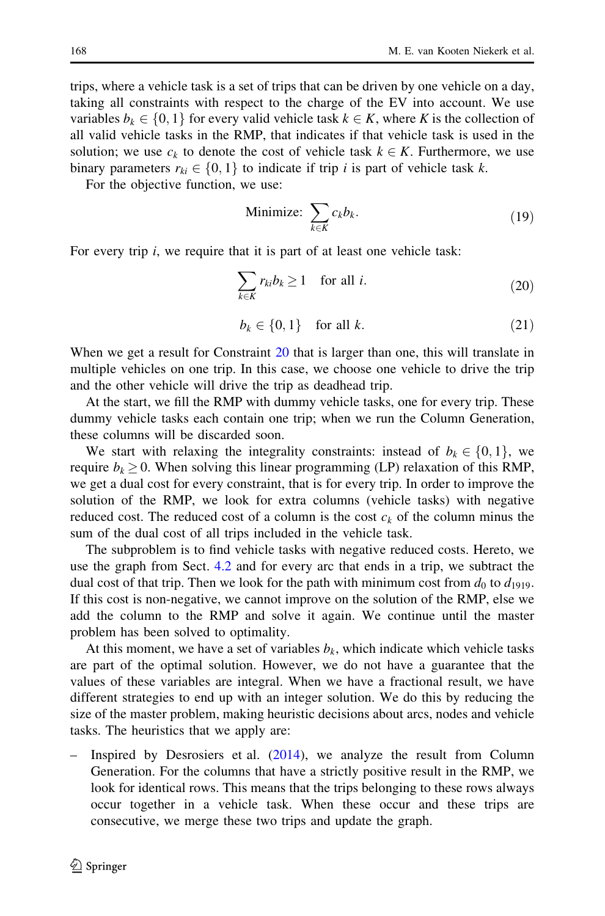<span id="page-13-0"></span>trips, where a vehicle task is a set of trips that can be driven by one vehicle on a day, taking all constraints with respect to the charge of the EV into account. We use variables  $b_k \in \{0, 1\}$  for every valid vehicle task  $k \in K$ , where K is the collection of all valid vehicle tasks in the RMP, that indicates if that vehicle task is used in the solution; we use  $c_k$  to denote the cost of vehicle task  $k \in K$ . Furthermore, we use binary parameters  $r_{ki} \in \{0, 1\}$  to indicate if trip i is part of vehicle task k.

For the objective function, we use:

Minimize: 
$$
\sum_{k \in K} c_k b_k.
$$
 (19)

For every trip *i*, we require that it is part of at least one vehicle task:

$$
\sum_{k \in K} r_{ki} b_k \ge 1 \quad \text{for all } i. \tag{20}
$$

$$
b_k \in \{0, 1\} \quad \text{for all } k. \tag{21}
$$

When we get a result for Constraint 20 that is larger than one, this will translate in multiple vehicles on one trip. In this case, we choose one vehicle to drive the trip and the other vehicle will drive the trip as deadhead trip.

At the start, we fill the RMP with dummy vehicle tasks, one for every trip. These dummy vehicle tasks each contain one trip; when we run the Column Generation, these columns will be discarded soon.

We start with relaxing the integrality constraints: instead of  $b_k \in \{0, 1\}$ , we require  $b_k \geq 0$ . When solving this linear programming (LP) relaxation of this RMP, we get a dual cost for every constraint, that is for every trip. In order to improve the solution of the RMP, we look for extra columns (vehicle tasks) with negative reduced cost. The reduced cost of a column is the cost  $c_k$  of the column minus the sum of the dual cost of all trips included in the vehicle task.

The subproblem is to find vehicle tasks with negative reduced costs. Hereto, we use the graph from Sect. [4.2](#page-9-0) and for every arc that ends in a trip, we subtract the dual cost of that trip. Then we look for the path with minimum cost from  $d_0$  to  $d_{1919}$ . If this cost is non-negative, we cannot improve on the solution of the RMP, else we add the column to the RMP and solve it again. We continue until the master problem has been solved to optimality.

At this moment, we have a set of variables  $b_k$ , which indicate which vehicle tasks are part of the optimal solution. However, we do not have a guarantee that the values of these variables are integral. When we have a fractional result, we have different strategies to end up with an integer solution. We do this by reducing the size of the master problem, making heuristic decisions about arcs, nodes and vehicle tasks. The heuristics that we apply are:

– Inspired by Desrosiers et al. [\(2014](#page-21-0)), we analyze the result from Column Generation. For the columns that have a strictly positive result in the RMP, we look for identical rows. This means that the trips belonging to these rows always occur together in a vehicle task. When these occur and these trips are consecutive, we merge these two trips and update the graph.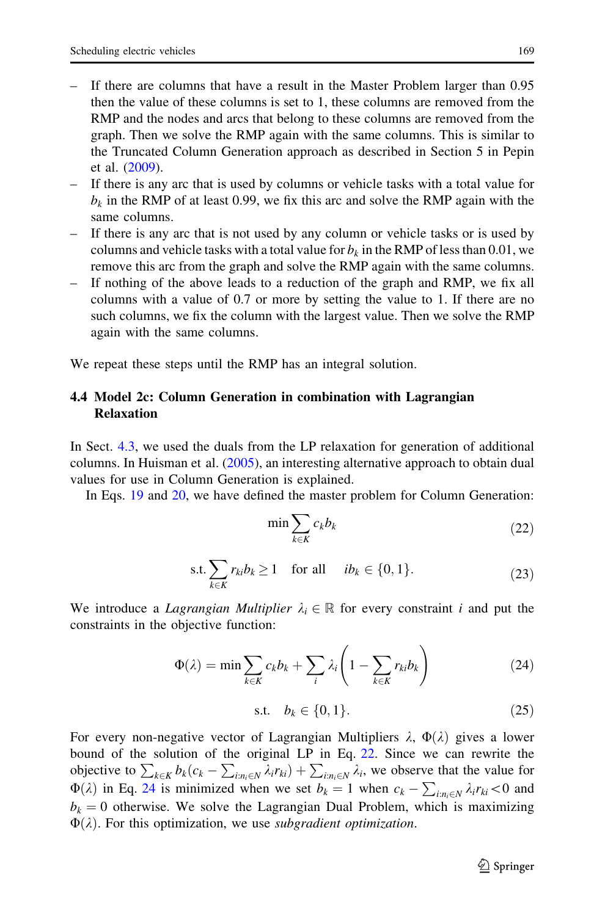- <span id="page-14-0"></span>– If there are columns that have a result in the Master Problem larger than 0.95 then the value of these columns is set to 1, these columns are removed from the RMP and the nodes and arcs that belong to these columns are removed from the graph. Then we solve the RMP again with the same columns. This is similar to the Truncated Column Generation approach as described in Section 5 in Pepin et al. ([2009\)](#page-21-0).
- If there is any arc that is used by columns or vehicle tasks with a total value for  $b_k$  in the RMP of at least 0.99, we fix this arc and solve the RMP again with the same columns.
- If there is any arc that is not used by any column or vehicle tasks or is used by columns and vehicle tasks with a total value for  $b_k$  in the RMP of less than 0.01, we remove this arc from the graph and solve the RMP again with the same columns.
- If nothing of the above leads to a reduction of the graph and RMP, we fix all columns with a value of 0.7 or more by setting the value to 1. If there are no such columns, we fix the column with the largest value. Then we solve the RMP again with the same columns.

We repeat these steps until the RMP has an integral solution.

# 4.4 Model 2c: Column Generation in combination with Lagrangian Relaxation

In Sect. [4.3](#page-12-0), we used the duals from the LP relaxation for generation of additional columns. In Huisman et al. ([2005\)](#page-21-0), an interesting alternative approach to obtain dual values for use in Column Generation is explained.

In Eqs. [19](#page-13-0) and [20,](#page-13-0) we have defined the master problem for Column Generation:

$$
\min \sum_{k \in K} c_k b_k \tag{22}
$$

$$
\text{s.t.} \sum_{k \in K} r_{ki} b_k \ge 1 \quad \text{for all} \quad ib_k \in \{0, 1\}. \tag{23}
$$

We introduce a Lagrangian Multiplier  $\lambda_i \in \mathbb{R}$  for every constraint i and put the constraints in the objective function:

$$
\Phi(\lambda) = \min \sum_{k \in K} c_k b_k + \sum_i \lambda_i \left( 1 - \sum_{k \in K} r_{ki} b_k \right) \tag{24}
$$

s.t. 
$$
b_k \in \{0, 1\}.
$$
 (25)

For every non-negative vector of Lagrangian Multipliers  $\lambda$ ,  $\Phi(\lambda)$  gives a lower bound of the solution of the original LP in Eq. 22. Since we can rewrite the objective to  $\sum_{k\in K} b_k(c_k - \sum_{i:n_i\in N} \lambda_i r_{ki}) + \sum_{i:n_i\in N} \lambda_i$ , we observe that the value for  $\Phi(\lambda)$  in Eq. 24 is minimized when we set  $b_k = 1$  when  $c_k - \sum_{i:n_i \in N} \lambda_i r_{ki} < 0$  and  $b_k = 0$  otherwise. We solve the Lagrangian Dual Problem, which is maximizing  $\Phi(\lambda)$ . For this optimization, we use subgradient optimization.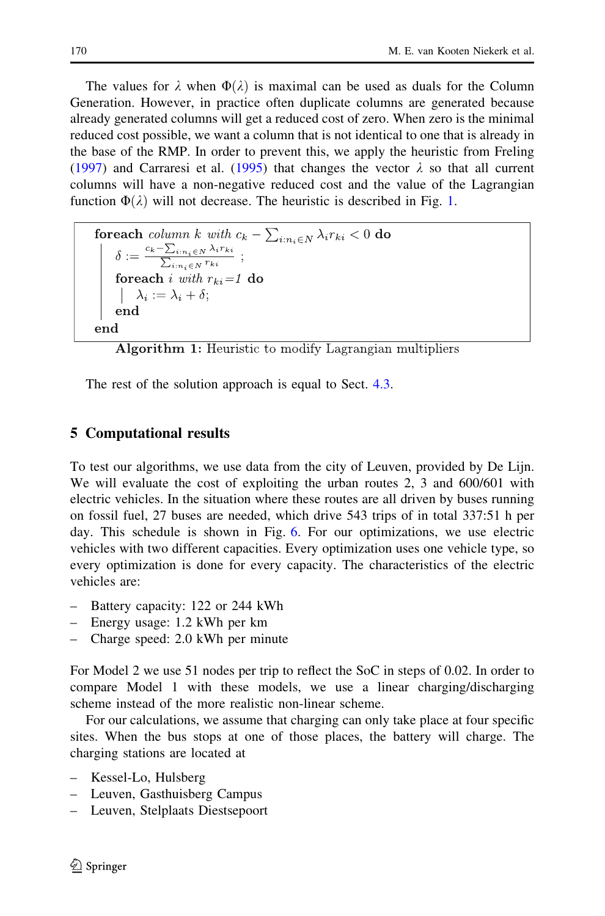<span id="page-15-0"></span>The values for  $\lambda$  when  $\Phi(\lambda)$  is maximal can be used as duals for the Column Generation. However, in practice often duplicate columns are generated because already generated columns will get a reduced cost of zero. When zero is the minimal reduced cost possible, we want a column that is not identical to one that is already in the base of the RMP. In order to prevent this, we apply the heuristic from Freling [\(1997](#page-21-0)) and Carraresi et al. [\(1995](#page-21-0)) that changes the vector  $\lambda$  so that all current columns will have a non-negative reduced cost and the value of the Lagrangian function  $\Phi(\lambda)$  will not decrease. The heuristic is described in Fig. [1.](#page-14-0)

```
for each column k with c_k - \sum_{i: n_i \in N} \lambda_i r_{ki} < 0 do
       \delta := \frac{c_k - \sum_{i: n_i \in N} \lambda_i r_{ki}}{\sum_{i: n_i \in N} r_{ki}}for<br>each i with r_{ki} = 1 do<br>\lambda_i := \lambda_i + \delta;end
end
```
Algorithm 1: Heuristic to modify Lagrangian multipliers

The rest of the solution approach is equal to Sect. [4.3.](#page-12-0)

### 5 Computational results

To test our algorithms, we use data from the city of Leuven, provided by De Lijn. We will evaluate the cost of exploiting the urban routes 2, 3 and 600/601 with electric vehicles. In the situation where these routes are all driven by buses running on fossil fuel, 27 buses are needed, which drive 543 trips of in total 337:51 h per day. This schedule is shown in Fig. [6](#page-16-0). For our optimizations, we use electric vehicles with two different capacities. Every optimization uses one vehicle type, so every optimization is done for every capacity. The characteristics of the electric vehicles are:

- Battery capacity: 122 or 244 kWh
- Energy usage: 1.2 kWh per km
- Charge speed: 2.0 kWh per minute

For Model 2 we use 51 nodes per trip to reflect the SoC in steps of 0.02. In order to compare Model 1 with these models, we use a linear charging/discharging scheme instead of the more realistic non-linear scheme.

For our calculations, we assume that charging can only take place at four specific sites. When the bus stops at one of those places, the battery will charge. The charging stations are located at

- Kessel-Lo, Hulsberg
- Leuven, Gasthuisberg Campus
- Leuven, Stelplaats Diestsepoort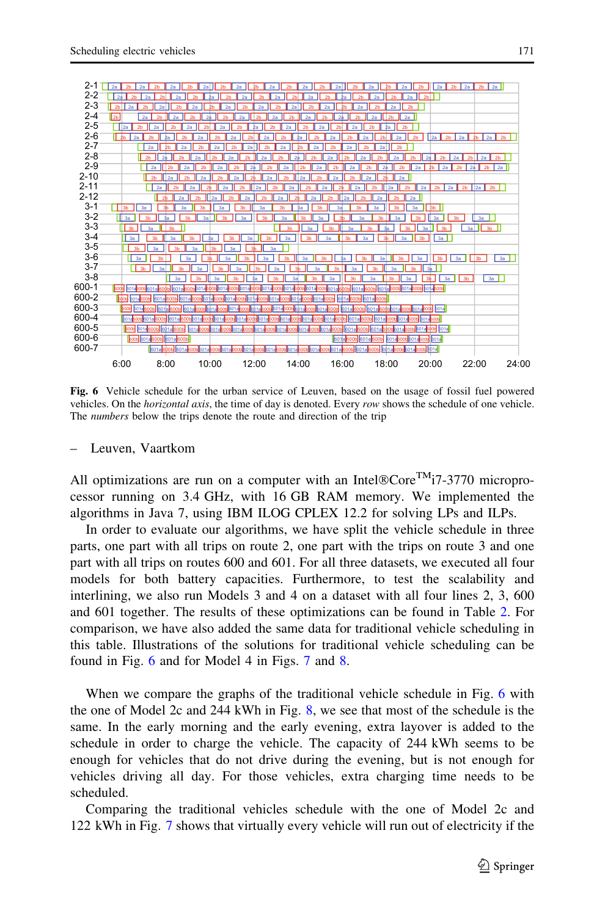<span id="page-16-0"></span>

Fig. 6 Vehicle schedule for the urban service of Leuven, based on the usage of fossil fuel powered vehicles. On the *horizontal axis*, the time of day is denoted. Every row shows the schedule of one vehicle. The numbers below the trips denote the route and direction of the trip

#### – Leuven, Vaartkom

All optimizations are run on a computer with an Intel $@Core^{TM}$ 17-3770 microprocessor running on 3.4 GHz, with 16 GB RAM memory. We implemented the algorithms in Java 7, using IBM ILOG CPLEX 12.2 for solving LPs and ILPs.

In order to evaluate our algorithms, we have split the vehicle schedule in three parts, one part with all trips on route 2, one part with the trips on route 3 and one part with all trips on routes 600 and 601. For all three datasets, we executed all four models for both battery capacities. Furthermore, to test the scalability and interlining, we also run Models 3 and 4 on a dataset with all four lines 2, 3, 600 and 601 together. The results of these optimizations can be found in Table [2.](#page-17-0) For comparison, we have also added the same data for traditional vehicle scheduling in this table. Illustrations of the solutions for traditional vehicle scheduling can be found in Fig. 6 and for Model 4 in Figs. [7](#page-19-0) and [8.](#page-20-0)

When we compare the graphs of the traditional vehicle schedule in Fig. 6 with the one of Model 2c and 244 kWh in Fig. [8](#page-20-0), we see that most of the schedule is the same. In the early morning and the early evening, extra layover is added to the schedule in order to charge the vehicle. The capacity of 244 kWh seems to be enough for vehicles that do not drive during the evening, but is not enough for vehicles driving all day. For those vehicles, extra charging time needs to be scheduled.

Comparing the traditional vehicles schedule with the one of Model 2c and 122 kWh in Fig. [7](#page-19-0) shows that virtually every vehicle will run out of electricity if the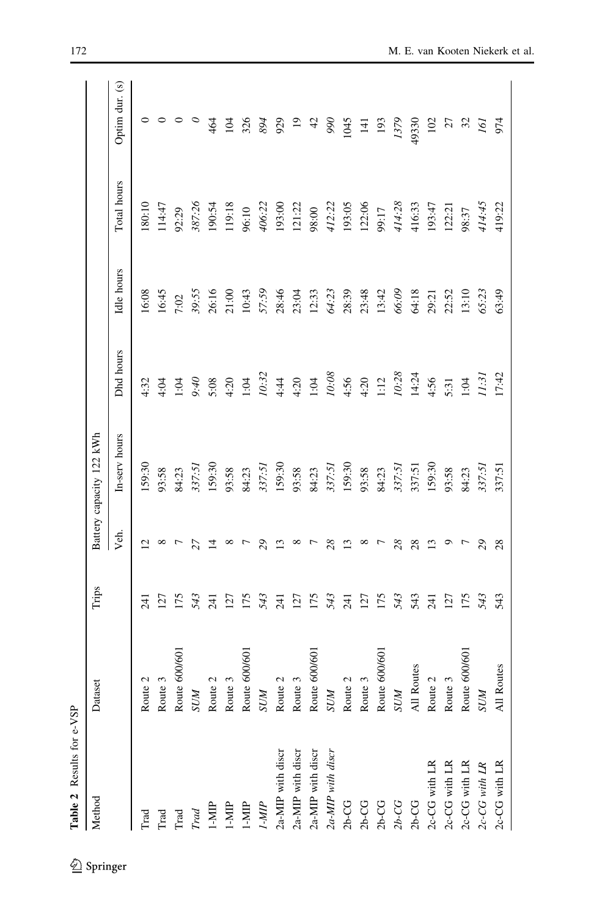<span id="page-17-0"></span>

| Method                | iset<br>Data               | Trips |                | Battery capacity 122 kWh |           |            |             |                 |
|-----------------------|----------------------------|-------|----------------|--------------------------|-----------|------------|-------------|-----------------|
|                       |                            |       | Уeл.           | In-serv hours            | Dhd hours | Idle hours | Total hours | Optim dur. (s)  |
| Trad                  | Route 2                    | 241   | $\bar{\omega}$ | 159:30                   | 4:32      | 16:08      | 180:10      | 0               |
| Trad                  | Route 3                    | 127   | $^{\circ}$     | 93:58                    | 4:04      | 16:45      | 14:47       | 0               |
| $_{\rm Trad}$         | Route 600/601              | 175   |                | 84:23                    | 1:04      | 7:02       | 92:29       | 0               |
| $\operatorname{Trad}$ | <b>NUS</b>                 | 543   |                | 337:51                   | $0 + 6$   | 39:55      | 387:26      |                 |
| $1-MIP$               | Route 2                    | 241   | ₹              | 159:30                   | 5:08      | 26:16      | 190:54      | 464             |
| $1-MIP$               | Route 3                    | 127   |                | 93:58                    | 4:20      | 21:00      | 119:18      | 104             |
| $1-MIP$               | Route 600/601              | 175   |                | 84:23                    | 1:04      | 10:43      | 96:10       | 326             |
| IMP                   | <b>NNS</b>                 | 543   |                | 337:51                   | 10:32     | 57:59      | 406:22      | 894             |
| 2a-MIP with discr     | $\mathbf 2$<br>Route       | 241   | ≌              | 159:30                   | 4:44      | 28:46      | 193:00      | 929             |
| 2a-MIP with discr     | Route 3                    | 127   | $^{\circ}$     | 93:58                    | 4:20      | 23:04      | 121:22      | $\overline{19}$ |
| 2a-MIP with discr     | Route 600/601              | 175   |                | 84:23                    | 1:04      | 12:33      | 98:00       | $\frac{4}{2}$   |
| 2a-MIP with discr     | <b>N</b> OS                | 543   |                | 337:51                   | 10:08     | 64:23      | 412:22      | 990             |
| $2b-CG$               | $\mathbf{\Omega}$<br>Route | 241   | ≌              | 159:30                   | 4:56      | 28:39      | 193:05      | 1045            |
| $2b-CG$               | Route 3                    | 127   |                | 93:58                    | 4:20      | 23:48      | 122:06      | $\overline{4}$  |
| $2b-CG$               | Route 600/601              | 175   |                | 84:23                    | 1:12      | 13:42      | 99:17       | 193             |
| $2b-CG$               | <b>N</b> OS                | 543   | $^{28}$        | 337:51                   | 10:28     | 66:09      | 414:28      | 1379            |
| $2b-CG$               | All Routes                 | 543   | 28             | 337:51                   | 14:24     | 64:18      | 416:33      | 49330           |
| 2c-CG with LR         | Route 2                    | 241   | 13             | 159:30                   | 4:56      | 29:21      | 193:47      | 102             |
| 2c-CG with LR         | Route 3                    | 127   | Ō              | 93:58                    | 5:31      | 22:52      | 122:21      | 27              |
| 2c-CG with LR         | Route 600/601              | 175   |                | 84:23                    | 1:04      | 13:10      | 98:37       | 32              |
| 2c-CG with LR         | SUM                        | 543   | 29             | 337:51                   | 1:3       | 65:23      | 414:45      | I6I             |
| 2c-CG with LR         | All Routes                 | 543   | 28             | 337:51                   | 17:42     | 63:49      | 419:22      | 974             |

Table 2 Results for e-VSP

Table 2 Results for e-VSP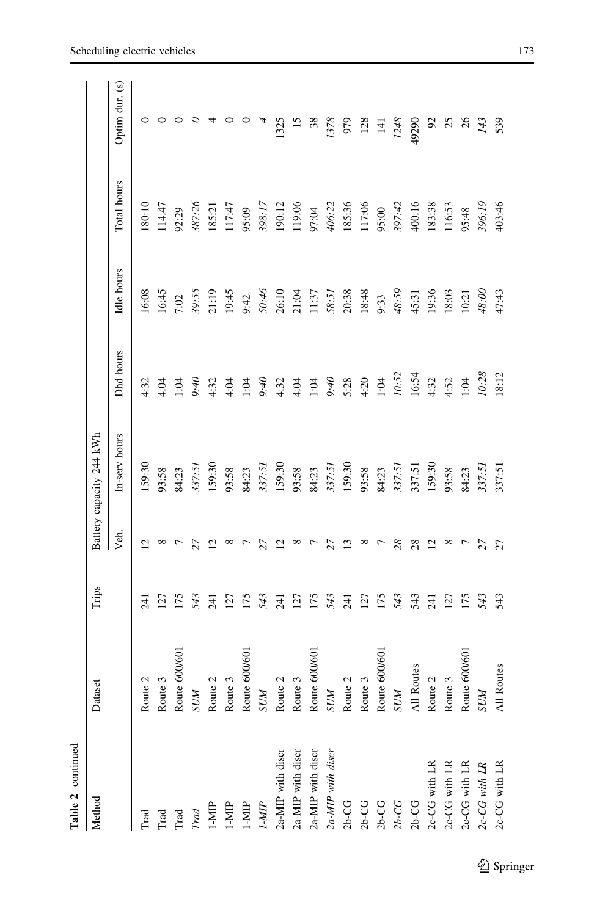| t        |  |
|----------|--|
|          |  |
| $\vdots$ |  |
|          |  |

| Method                 | iset<br>Data            | Trips            |            | Battery capacity 244 kWh |           |            |             |                 |
|------------------------|-------------------------|------------------|------------|--------------------------|-----------|------------|-------------|-----------------|
|                        |                         |                  | Veh.       | In-serv hours            | Dhd hours | Idle hours | Total hours | Optim dur. (s)  |
| Trad                   | te $2$<br>Rout          | $\overline{5}$   |            | 159:30                   | 4:32      | 16:08      | 80:10       | 0               |
| Trad                   | te <sub>3</sub><br>Rout | 127              | $^{\circ}$ | 93:58                    | 4:04      | 16:45      | 114:47      |                 |
| $_{\rm Trad}$          | Route 600/60            | 175              |            | 84:23                    | 1:04      | 7:02       | 92:29       |                 |
| $_{\mathit{Trad}}$     | <b>N/DS</b>             | 543              |            | 337:51                   | 01.6      | 39:55      | 387:26      |                 |
| $1-MP$                 | $\mathcal{L}$<br>Route: | 241              |            | 159:30                   | 4:32      | 21:19      | 185:21      |                 |
| $1-MIP$                | Route 3                 | 127              |            | 93:58                    | 4:04      | 19:45      | 117:47      |                 |
| $1-MIP$                | Route 600/601           | 175              |            | 84:23                    | 1:04      | 9:42       | 95:09       |                 |
| IMIP                   | <b>N</b> OS             | 543              |            | 337:51                   | 01.6      | 50:46      | 398:17      |                 |
| 2a-MIP with discr      | 2<br>Route:             | $\overline{241}$ |            | 159:30                   | 4.32      | 26:10      | 190:12      | 1325            |
| 2a-MIP with discr      | Route 3                 | 127              |            | 93:58                    | 4:04      | 21:04      | 119:06      | $\overline{15}$ |
| 2a-MIP with discr      | Route 600/601           | 175              |            | 84:23                    | 1:04      | 11:37      | 97:04       | 38              |
| 2a-MIP with discr      | <b>N</b> NS             | 543              |            | 337:51                   | $0 + 6$   | 58:51      | 406:22      | 1378            |
| $2b-CG$                | N<br>Route:             | <b>EK2</b>       |            | 159:30                   | 5:28      | 20:38      | 185:36      | 979             |
| $2b-CG$                | Route 3                 | 127              | ∞          | 93:58                    | 4:20      | 18:48      | 117:06      | 128             |
| $2b-CG$                | Route 600/601           | 175              |            | 84:23                    | 1:04      | 9:33       | 95:00       | $\overline{14}$ |
| $2b$ -CG               | <b>N</b> OS             | 543              | 28         | 337:51                   | 10:52     | 48:59      | 397:42      | 1248            |
| $2b-CG$                | All Routes              | 543              | 28         | 337:51                   | 16:54     | 45:31      | 400:16      | 49290           |
| 2c-CG with LR          | Route 2                 | $\overline{5}$   | 2          | 159:30                   | 4:32      | 19:36      | 183:38      | $\mathfrak{S}$  |
| 2c-CG with LR          | e <sub>3</sub><br>Rout  | 127              | $^{\circ}$ | 93:58                    | 4:52      | 18:03      | 116:53      | 25              |
| 2c-CG with LR          | te 600/60<br>Rout       | I75              | ŗ          | 84:23                    | 1:04      | 10:21      | 95:48       | $\frac{8}{2}$   |
| $2c\text{-}CG$ with LR | <b>N/DS</b>             | 543              | 27         | 337:51                   | 10:28     | 48:00      | 396:19      | 143             |
| 2c-CG with LR          | All Routes              | 543              | 27         | 337:51                   | 18:12     | 47:43      | 403:46      | 539             |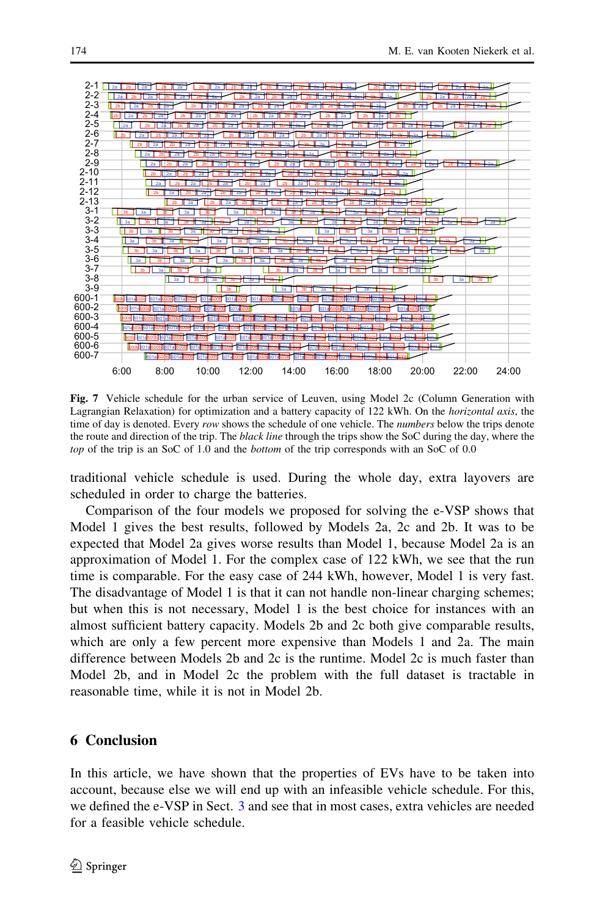<span id="page-19-0"></span>

Fig. 7 Vehicle schedule for the urban service of Leuven, using Model 2c (Column Generation with Lagrangian Relaxation) for optimization and a battery capacity of 122 kWh. On the *horizontal axis*, the time of day is denoted. Every row shows the schedule of one vehicle. The *numbers* below the trips denote the route and direction of the trip. The *black line* through the trips show the SoC during the day, where the top of the trip is an SoC of 1.0 and the *bottom* of the trip corresponds with an SoC of 0.0

traditional vehicle schedule is used. During the whole day, extra layovers are scheduled in order to charge the batteries.

Comparison of the four models we proposed for solving the e-VSP shows that Model 1 gives the best results, followed by Models 2a, 2c and 2b. It was to be expected that Model 2a gives worse results than Model 1, because Model 2a is an approximation of Model 1. For the complex case of 122 kWh, we see that the run time is comparable. For the easy case of 244 kWh, however, Model 1 is very fast. The disadvantage of Model 1 is that it can not handle non-linear charging schemes; but when this is not necessary, Model 1 is the best choice for instances with an almost sufficient battery capacity. Models 2b and 2c both give comparable results, which are only a few percent more expensive than Models 1 and 2a. The main difference between Models 2b and 2c is the runtime. Model 2c is much faster than Model 2b, and in Model 2c the problem with the full dataset is tractable in reasonable time, while it is not in Model 2b.

### 6 Conclusion

In this article, we have shown that the properties of EVs have to be taken into account, because else we will end up with an infeasible vehicle schedule. For this, we defined the e-VSP in Sect. [3](#page-3-0) and see that in most cases, extra vehicles are needed for a feasible vehicle schedule.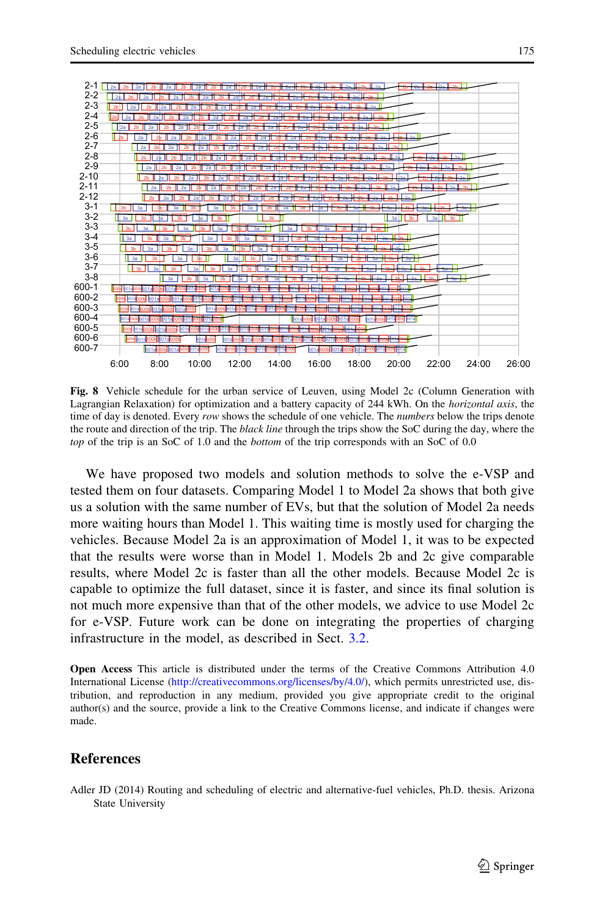<span id="page-20-0"></span>

Fig. 8 Vehicle schedule for the urban service of Leuven, using Model 2c (Column Generation with Lagrangian Relaxation) for optimization and a battery capacity of 244 kWh. On the *horizontal axis*, the time of day is denoted. Every row shows the schedule of one vehicle. The *numbers* below the trips denote the route and direction of the trip. The black line through the trips show the SoC during the day, where the top of the trip is an SoC of 1.0 and the *bottom* of the trip corresponds with an SoC of 0.0

We have proposed two models and solution methods to solve the e-VSP and tested them on four datasets. Comparing Model 1 to Model 2a shows that both give us a solution with the same number of EVs, but that the solution of Model 2a needs more waiting hours than Model 1. This waiting time is mostly used for charging the vehicles. Because Model 2a is an approximation of Model 1, it was to be expected that the results were worse than in Model 1. Models 2b and 2c give comparable results, where Model 2c is faster than all the other models. Because Model 2c is capable to optimize the full dataset, since it is faster, and since its final solution is not much more expensive than that of the other models, we advice to use Model 2c for e-VSP. Future work can be done on integrating the properties of charging infrastructure in the model, as described in Sect. [3.2.](#page-4-0)

Open Access This article is distributed under the terms of the Creative Commons Attribution 4.0 International License ([http://creativecommons.org/licenses/by/4.0/\)](http://creativecommons.org/licenses/by/4.0/), which permits unrestricted use, distribution, and reproduction in any medium, provided you give appropriate credit to the original author(s) and the source, provide a link to the Creative Commons license, and indicate if changes were made.

#### **References**

Adler JD (2014) Routing and scheduling of electric and alternative-fuel vehicles, Ph.D. thesis. Arizona State University